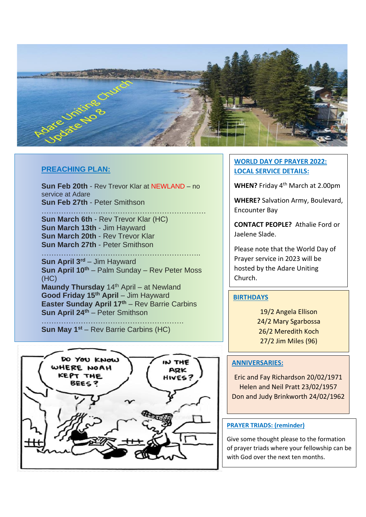

#### **PREACHING PLAN:**

**Sun Feb 20th** - Rev Trevor Klar at NEWLAND – no service at Adare **Sun Feb 27th** - Peter Smithson

…………………………………………………………. **Sun March 6th** - Rev Trevor Klar (HC) **Sun March 13th** - Jim Hayward **Sun March 20th** - Rev Trevor Klar **Sun March 27th** - Peter Smithson

……………………………………………………….. **Sun April 3rd** – Jim Hayward **Sun April 10th** – Palm Sunday – Rev Peter Moss (HC)

**Maundy Thursday** 14<sup>th</sup> April – at Newland **Good Friday 15th April** – Jim Hayward **Easter Sunday April 17th** – Rev Barrie Carbins **Sun April 24th** – Peter Smithson

…………………………………………………. **Sun May 1st** – Rev Barrie Carbins (HC)



### **WORLD DAY OF PRAYER 2022: LOCAL SERVICE DETAILS:**

**WHEN?** Friday 4th March at 2.00pm

**WHERE?** Salvation Army, Boulevard, Encounter Bay

**CONTACT PEOPLE?** Athalie Ford or Jaelene Slade.

Please note that the World Day of Prayer service in 2023 will be hosted by the Adare Uniting Church.

### **BIRTHDAYS**

19/2 Angela Ellison 24/2 Mary Sgarbossa 26/2 Meredith Koch 27/2 Jim Miles (96)

### **ANNIVERSARIES:**

Eric and Fay Richardson 20/02/1971 Helen and Neil Pratt 23/02/1957 Don and Judy Brinkworth 24/02/1962

#### **PRAYER TRIADS: (reminder)**

Give some thought please to the formation of prayer triads where your fellowship can be with God over the next ten months.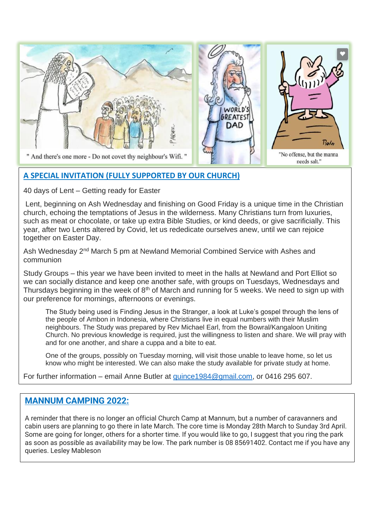

## **A SPECIAL INVITATION (FULLY SUPPORTED BY OUR CHURCH)**

40 days of Lent – Getting ready for Easter

Lent, beginning on Ash Wednesday and finishing on Good Friday is a unique time in the Christian church, echoing the temptations of Jesus in the wilderness. Many Christians turn from luxuries, such as meat or chocolate, or take up extra Bible Studies, or kind deeds, or give sacrificially. This year, after two Lents altered by Covid, let us rededicate ourselves anew, until we can rejoice together on Easter Day.

Ash Wednesday 2<sup>nd</sup> March 5 pm at Newland Memorial Combined Service with Ashes and communion

Study Groups – this year we have been invited to meet in the halls at Newland and Port Elliot so we can socially distance and keep one another safe, with groups on Tuesdays, Wednesdays and Thursdays beginning in the week of  $8<sup>th</sup>$  of March and running for 5 weeks. We need to sign up with our preference for mornings, afternoons or evenings.

The Study being used is Finding Jesus in the Stranger, a look at Luke's gospel through the lens of the people of Ambon in Indonesia, where Christians live in equal numbers with their Muslim neighbours. The Study was prepared by Rev Michael Earl, from the Bowral/Kangaloon Uniting Church. No previous knowledge is required, just the willingness to listen and share. We will pray with and for one another, and share a cuppa and a bite to eat.

One of the groups, possibly on Tuesday morning, will visit those unable to leave home, so let us know who might be interested. We can also make the study available for private study at home.

For further information – email Anne Butler at [quince1984@gmail.com,](mailto:quince1984@gmail.com) or 0416 295 607.

## **MANNUM CAMPING 2022:**

A reminder that there is no longer an official Church Camp at Mannum, but a number of caravanners and cabin users are planning to go there in late March. The core time is Monday 28th March to Sunday 3rd April. Some are going for longer, others for a shorter time. If you would like to go, I suggest that you ring the park as soon as possible as availability may be low. The park number is 08 85691402. Contact me if you have any queries. Lesley Mableson